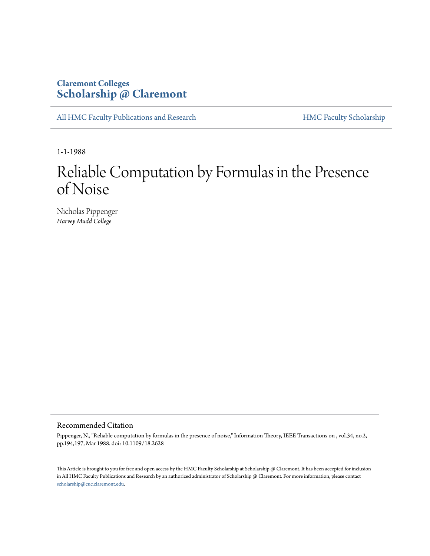### **Claremont Colleges [Scholarship @ Claremont](http://scholarship.claremont.edu)**

[All HMC Faculty Publications and Research](http://scholarship.claremont.edu/hmc_fac_pub) [HMC Faculty Scholarship](http://scholarship.claremont.edu/hmc_faculty)

1-1-1988

# Reliable Computation by Formulas in the Presence of Noise

Nicholas Pippenger *Harvey Mudd College*

#### Recommended Citation

Pippenger, N., "Reliable computation by formulas in the presence of noise," Information Theory, IEEE Transactions on , vol.34, no.2, pp.194,197, Mar 1988. doi: 10.1109/18.2628

This Article is brought to you for free and open access by the HMC Faculty Scholarship at Scholarship @ Claremont. It has been accepted for inclusion in All HMC Faculty Publications and Research by an authorized administrator of Scholarship @ Claremont. For more information, please contact [scholarship@cuc.claremont.edu.](mailto:scholarship@cuc.claremont.edu)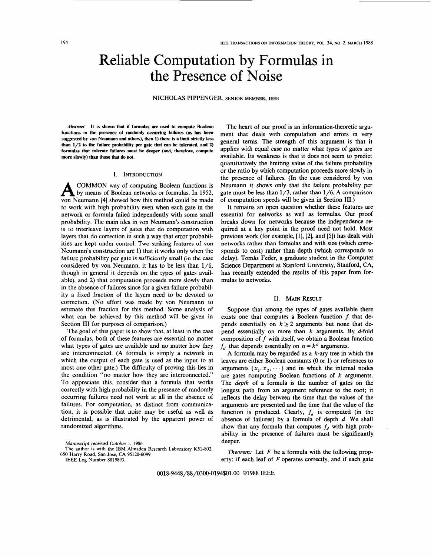## Reliable Computation by Formulas in the Presence of Noise

NICHOLAS PIPPENGER, SENIOR MEMBER, IEEE

**Abstract-It is shown that if formulas are used to compute Boolean functions in the presence of randomly occurring failures (as has been**  suggested by von Neumann and others), then 1) there is a limit strictly less **than 1/2 to the failure probability per gate that can be tolerated, and 2) formulas that tolerate failures must be deeper (and, therefore, compute more slowly) than those that do not.** 

#### I. INTRODUCTION

A COMMON way of computing Boolean functions is by means of Boolean networks or formulas. In 1952, von Neumann **[4]** showed how this method could be made to work with high probability even when each gate in the network or formula failed independently with some small probability. The main idea in von Neumann's construction is to interleave layers of gates that do computation with layers that do correction in such a way that error probabilities are kept under control. Two striking features of von Neumann's construction are 1) that it works only when the failure probability per gate is sufficiently small (in the case considered by von Neumann, it has to be less than **1/6,**  though in general it depends on the types of gates available), and 2) that computation proceeds more slowly than in the absence of failures since for a given failure probability a fixed fraction of the layers need to be devoted to correction. (No effort was made by von Neumann to estimate this fraction for this method. Some analysis of what can be achieved by this method will be given in Section III for purposes of comparison.)

The goal of this paper is to show that, at least in the case of formulas, both of these features are essential no matter what types of gates are available and no matter how they are interconnected. (A formula is simply a network in which the output of each gate is used as the input to at most one other gate.) The difficulty of proving this lies in the condition "no matter how they are interconnected." To appreciate this, consider that a formula that works correctly with high probability in the presence of randomly occurring failures need not work at all in the absence of failures. For computation, as distinct from communication, it is possible that noise may be useful as well as detrimental, as is illustrated by the apparent power of randomized algorithms.

**Manuscript received October 1,** 1986.

**The author is with the** IBM **Almaden Research Laboratory** K51-802, 650 **Harry Road, San Jose, CA** 95120-6099.

IEEE **Log Number** 8819893.

The heart of our proof is an information-theoretic argument that deals with computation and errors in very general terms. The strength of this argument is that it applies with equal ease no matter what types of gates are available. Its weakness is that it does not seem to predict quantitatively the limiting value of the failure probability or the ratio by which computation proceeds more slowly in the presence of failures. (In the case considered by von Neumann it shows only that the failure probability per gate must be less than **1/3,** rather than **1/6.** A comparison of computation speeds will be given in Section **111.)** 

It remains an open question whether these features are essential for networks **as** well as formulas. Our proof breaks down for networks because the independence required at a key point in the proof need not hold. Most previous work (for example, [l], **[2],** and **[5])** has dealt with networks rather than formulas and with size (which corresponds to cost) rather than depth (which corresponds to delay). Tomás Feder, a graduate student in the Computer Science Department at Stanford University, Stanford, **CA,**  has recently extended the results of this paper from formulas to networks.

#### **11.** MAIN RESULT

Suppose that among the types of gates available there exists one that computes a Boolean function *f* that depends essentially on  $k \geq 2$  arguments but none that depend essentially on more than  $k$  arguments. By  $d$ -fold composition of  $f$  with itself, we obtain a Boolean function  $f<sub>d</sub>$  that depends essentially on  $n = k<sup>d</sup>$  arguments.

A formula may be regarded as a *k-ary* tree in which the leaves are either Boolean constants (0 or 1) or references to arguments  $(x_1, x_2, \dots)$  and in which the internal nodes are gates computing Boolean functions of  $k$  arguments. The *depth* of a formula is the number of gates on the longest path from an argument reference to the root; it reflects the delay between the time that the values of the arguments are presented and the time that the value of the function is produced. Clearly,  $f_d$  is computed (in the absence of failures) by a formula of depth *d.* We shall show that any formula that computes  $f_d$  with high probability in the presence of failures must be significantly deeper.

.

*Theorem:* Let *F* be a formula with the following property: if each leaf of  $F$  operates correctly, and if each gate

**0018-9448/88/0300-Ol94\$01.00** 01988 IEEE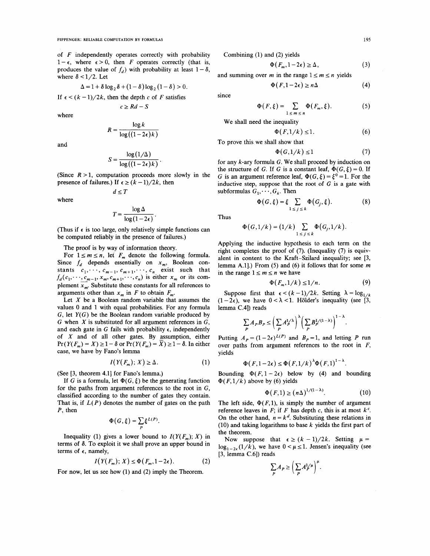of  $F$  independently operates correctly with probability  $1-\epsilon$ , where  $\epsilon > 0$ , then F operates correctly (that is, produces the value of  $f_d$ ) with probability at least  $1 - \delta$ , where  $\delta$  < 1/2. Let

$$
\Delta = 1 + \delta \log_2 \delta + (1 - \delta) \log_2 (1 - \delta) > 0.
$$
  
If  $\epsilon < (k - 1)/2k$ , then the depth c of F satisfies

 $c \ge Rd - S$ 

where

$$
R = \frac{\log k}{\log((1 - 2\epsilon)k)}
$$

and

where

$$
S = \frac{\log(1/\Delta)}{\log((1-2\epsilon)k)}.
$$

(Since  $R > 1$ , computation proceeds more slowly in the presence of failures.) If  $\epsilon \ge (k-1)/2k$ , then

$$
d\leq T
$$

$$
T = \frac{\log \Delta}{\log (1 - 2\epsilon)}.
$$

(Thus if  $\epsilon$  is too large, only relatively simple functions can be computed reliably in the presence of failures.)

The proof is by way of information theory.

For  $1 \le m \le n$ , let  $F_m$  denote the following formula. Since  $f_d$  depends essentially on  $x_m$ , Boolean consince  $f_d$  depends essentially on  $x_m$ , Boolean constants  $c_1, \dots, c_{m-1}, c_{m+1}, \dots, c_n$  exist such that  $f_d(c_1, \dots, c_{m-1}, x_m, c_{m+1}, \dots, c_n)$  is either  $x_m$  or its complement  $\overline{x_m}$ . Substitute these constants for all references to arguments other than  $x_m$  in F to obtain  $F_m$ .  $c_1$ , dep<br>  $\frac{c_1}{x}$ ,  $\frac{c_{m-1}}{x}$ 

Let  $X$  be a Boolean random variable that assumes the values 0 and 1 with equal probabilities. For any formula G, let *Y(G)* be the Boolean random variable produced by G when  $X$  is substituted for all argument references in  $G$ , and each gate in G fails with probability  $\epsilon$ , independently of *X* and of all other gates. By assumption, either  $Pr(Y(F_m) = X) \ge 1 - \delta$  or  $Pr(Y(F_m) = \overline{X}) \ge 1 - \delta$ . In either case, we have by Fano's lemma

$$
I(Y(F_m); X) \ge \Delta. \tag{1}
$$

(See [3, theorem **4.11** for Fano's lemma.)

If G is a formula, let  $\Phi(G, \xi)$  be the generating function for the paths from argument references to the root in  $G$ , classified according to the number of gates they contain. That is, if  $L(P)$  denotes the number of gates on the path *P,* then

$$
\Phi(G,\xi)=\sum_{P}\xi^{L(P)}
$$

Inequality (1) gives a lower bound to  $I(Y(F_m); X)$  in terms of **6.** To exploit it we shall prove an upper bound in terms of  $\epsilon$ , namely,

$$
I(Y(F_m); X) \le \Phi(F_m, 1 - 2\epsilon). \tag{2}
$$

For now, let us see how (1) and (2) imply the Theorem.

Combining (1) and (2) yields

$$
\Phi(F_m, 1 - 2\epsilon) \ge \Delta,\tag{3}
$$

and summing over *m* in the range  $1 \le m \le n$  yields<br>  $\Phi(F | 1 - 2\epsilon) > n\Delta$ 

$$
\Phi(F, 1-2\epsilon) \ge n\Delta \tag{4}
$$

$$
\Phi(F,\xi) = \sum_{1 \le m \le n} \Phi(F_m,\xi). \tag{5}
$$

We shall need the inequality

$$
\Phi(F,1/k) \le 1. \tag{6}
$$

To prove this we shall show that

$$
\Phi(G,1/k) \le 1\tag{7}
$$

for any k-ary formula G. We shall proceed by induction on the structure of G. If G is a constant leaf,  $\Phi(G, \xi) = 0$ . If G is an argument reference leaf,  $\Phi(G, \xi) = \xi^0 = 1$ . For the inductive step, suppose that the root of  $G$  is a gate with subformulas  $G_1, \dots, G_k$ . Then

$$
\Phi(G,\xi) = \xi \sum_{1 \le j \le k} \Phi(G_j,\xi). \tag{8}
$$

Thus

since

$$
\Phi(G,1/k)=(1/k)\sum_{1\leq j\leq k}\Phi(G_j,1/k).
$$

Applying the inductive hypothesis to each term on the right completes the proof of (7). (Inequality (7) is equivalent in content to the Kraft-Szilard inequality; see [3, lemma A.1].) From (5) and (6) it follows that for some *m* in the range  $1 \le m \le n$  we have alent in content to the Kraft-Szilard inequality; see [3, lemma **AI].)** From (5) and **(6)** it follows that for some *m* 

$$
\Phi(F_m, 1/k) \le 1/n. \tag{9}
$$

Suppose first that  $\epsilon < (k-1)/2k$ . Setting  $\lambda = \log_{1/k}$  $(1-2\epsilon)$ , we have  $0 < \lambda < 1$ . Hölder's inequality (see [3, lemma **C.41)** reads

$$
\sum_{P} A_{P} B_{P} \leq \bigg(\sum_{P} A_{P}^{1/\lambda}\bigg)^{\lambda} \bigg(\sum_{P} B_{P}^{1/(1-\lambda)}\bigg)^{1-\lambda}.
$$

Putting  $A_p = (1 - 2\epsilon)^{L(P)}$  and  $B_p = 1$ , and letting P run over paths from argument references to the root in *F,*  yields

$$
\Phi(F, 1-2\epsilon) \le \Phi(F, 1/k)^{\lambda} \Phi(F, 1)^{1-\lambda}.
$$

Bounding  $\Phi(F, 1-2\epsilon)$  below by (4) and bounding  $\Phi(F, 1/k)$  above by (6) yields

$$
\Phi(F,1) \ge (n\Delta)^{1/(1-\lambda)}.\tag{10}
$$

The left side,  $\Phi(F, 1)$ , is simply the number of argument reference leaves in  $F$ ; if  $F$  has depth  $c$ , this is at most  $k^c$ . On the other hand,  $n = k^d$ . Substituting these relations in (10) and taking logarithms to base *k* yields the first part of the theorem.

Now suppose that  $\epsilon \ge (k-1)/2k$ . Setting  $\mu =$  $\log_{1-2\epsilon}(1/k)$ , we have  $0 < \mu \leq 1$ . Jensen's inequality (see [3, lemma **C.61)** reads

$$
\sum_{P} A_{P} \geq \left(\sum_{P} A_{P}^{1/\mu}\right)^{\mu}.
$$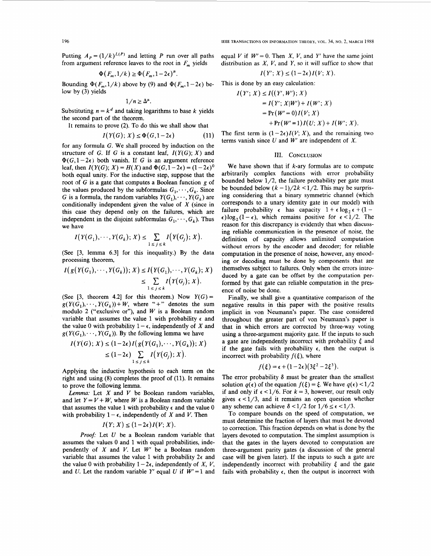Putting  $A_p = (1/k)^{L(P)}$  and letting P run over all paths from argument reference leaves to the root in  $F_m$  yields  $\Phi(F_m, 1/k) \ge \Phi(F_m, 1-2\epsilon)^{\mu}$ .

$$
\Phi(F_m, 1/k) \ge \Phi(F_m, 1-2\epsilon)^{\mu}.
$$

Bounding  $\Phi(F_m,1/k)$  above by (9) and  $\Phi(F_m,1-2\epsilon)$  below by **(3)** yields

$$
1/n \geq \Delta^{\mu}.
$$

Substituting  $n = k^d$  and taking logarithms to base k yields the second part of the theorem.

It remains to prove **(2).** To do this we shall show that

$$
I(Y(G); X) \le \Phi(G, 1 - 2\epsilon) \tag{11}
$$

for any formula *G.* We shall proceed by induction on the structure of *G*. If *G* is a constant leaf,  $I(Y(G); X)$  and  $\Phi(G, 1-2\epsilon)$  both vanish. If *G* is an argument reference leaf, then  $I(Y(G); X) = H(X)$  and  $\Phi(G, 1-2\epsilon) = (1-2\epsilon)^0$ both equal unity. For the inductive step, suppose that the root of *G* is a gate that computes a Boolean function *g* of the values produced by the subformulas  $G_1, \dots, G_k$ . Since *G* is a formula, the random variables  $Y(G_1), \dots, Y(G_k)$  are conditionally independent given the value of *X* (since in this case they depend only on the failures, which are this case they depend only on the failures, which are independent in the disjoint subformulas  $G_1, \dots, G_k$ ). Thus we have  $I(Y(G_1), \dots, Y(G_k); X) \le \sum_{1 \le j \le k} I(Y(G_j); X)$ . we have

$$
I(Y(G_1),\cdots,Y(G_k);X)\leq \sum_{1\leq j\leq k} I(Y(G_j);X).
$$

(See **[3,** lemma **6.31** for this inequality.) By the data processing theorem,

$$
I(g(Y(G_1),\cdots,Y(G_k)); X) \leq I(Y(G_1),\cdots,Y(G_k); X)
$$
  
\n
$$
\leq \sum_{1 \leq j \leq k} I(Y(G_j); X).
$$

(See  $[3,$  theorem 4.2) for this theorem.) Now  $Y(G) =$  $g(Y(G_1),\dots,Y(G_k))+W$ , where "+" denotes the sum modulo 2 ("exclusive or"), and *W* is a Boolean random variable that assumes the value **1** with probability **e** and the value 0 with probability  $1 - \epsilon$ , independently of *X* and  $g(Y(G_1), \dots, Y(G_k))$ . By the following lemma we have

$$
I(Y(G); X) \leq (1-2\epsilon)I(g(Y(G_1), \cdots, Y(G_k)); X)
$$
  
\n
$$
\leq (1-2\epsilon) \sum_{1 \leq j \leq k} I(Y(G_j); X).
$$

Applying the inductive hypothesis to each term on the right and using (8) completes the proof of **(11).** It remains to prove the following lemma.

*Lemma:* Let *X* and *V* be Boolean random variables, and let  $Y = V + W$ , where *W* is a Boolean random variable that assumes the value 1 with probability  $\epsilon$  and the value 0 that assumes the value 1 with probability  $\epsilon$  and the value with probability  $1 - \epsilon$ , independently of *X* and *V*. Then  $I(Y; X) \leq (1 - 2\epsilon)I(V; X)$ .

$$
I(Y; X) \le (1-2\epsilon)I(V; X).
$$

*Proof:* Let *U* be a Boolean random variable that assumes the values 0 and **1** with equal probabilities, independently of *X* and *V.* Let *W'* be a Boolean random variable that assumes the value 1 with probability  $2\epsilon$  and the value 0 with probability  $1 - 2\epsilon$ , independently of *X*, *V*, and *U*. Let the random variable *Y'* equal *U* if  $W' = 1$  and equal *V* if  $W' = 0$ . Then *X, V,* and *Y'* have the same joint distribution as  $X$ ,  $V$ , and  $Y$ , so it will suffice to show that

$$
I(Y'; X) \le (1-2\epsilon)I(V; X).
$$

This is done by an easy calculation:

$$
I(Y'; X) \leq (1 - 2\epsilon)I(V; X).
$$
  
\n
$$
I(Y'; X) \leq (1 - 2\epsilon)I(V; X).
$$
  
\n
$$
I(Y'; X) \leq I((Y', W'); X)
$$
  
\n
$$
= I(Y'; X|W') + I(W'; X)
$$
  
\n
$$
= Pr(W' = 0)I(V; X)
$$
  
\n
$$
+ Pr(W' = 1)I(U; X) + I(W'; X).
$$

The first term is  $(1-2\epsilon)I(V; X)$ , and the remaining two terms vanish since *U* and *W'* are independent of *X.* 

#### **111. CONCLUSION**

We have shown that if  $k$ -ary formulas are to compute arbitrarily complex functions with error probability bounded below  $1/2$ , the failure probability per gate must be bounded below  $(k - 1)/2k < 1/2$ . This may be surprising considering that a binary symmetric channel (which corresponds to a unary identity gate in our model) with failure probability  $\epsilon$  has capacity  $1 + \epsilon \log_2 \epsilon + (1 - \epsilon \log_2 \epsilon)$  $\epsilon$ )log<sub>2</sub>(1- $\epsilon$ ), which remains positive for  $\epsilon$ <1/2. The reason for this discrepancy is evidently that when discussing reliable communication in the presence **of** noise, the definition of capacity allows unlimited computation **without** errors by **the** encoder and decoder; for reliable computation in the presence of noise, however, any encoding or decoding must be done by components that are themselves subject to failures. Only when the errors introduced by a gate can be offset by the computation performed by that gate can reliable computation in the presence of noise be done.

Finally, **we** shall give a quantitative comparison of the negative results in this paper with the positive results implicit in von Neumann's paper. The case considered throughout the greater part of von Neumann's paper is that in which errors are corrected by three-way voting using a three-argument majority gate. **If** the inputs to such a gate are independently incorrect with probability *5* and if the gate fails with probability  $\epsilon$ , then the output is incorrect with probability  $f(\xi)$ , where

$$
f(\xi) = \epsilon + (1-2\epsilon)(3\xi^2 - 2\xi^3).
$$

The error probability  $\delta$  must be greater than the smallest solution  $q(\epsilon)$  of the equation  $f(\xi) = \xi$ . We have  $q(\epsilon) < 1/2$ if and only if  $\epsilon$  < 1/6. For  $k = 3$ , however, our result only gives  $\epsilon$  <1/3, and it remains an open question whether any scheme can achieve  $\delta$  < 1/2 for  $1/6 \leq \epsilon$  < 1/3.

To compare bounds on the speed of computation, we must determine the fraction of layers that must be devoted to correction. This fraction depends on what is done by the layers devoted to computation. The simplest assumption is that the gates in the layers devoted to computation are three-argument parity gates (a discussion of the general case will be given later). If the inputs to such a gate are independently incorrect with probability  $\xi$  and the gate fails with probability  $\epsilon$ , then the output is incorrect with